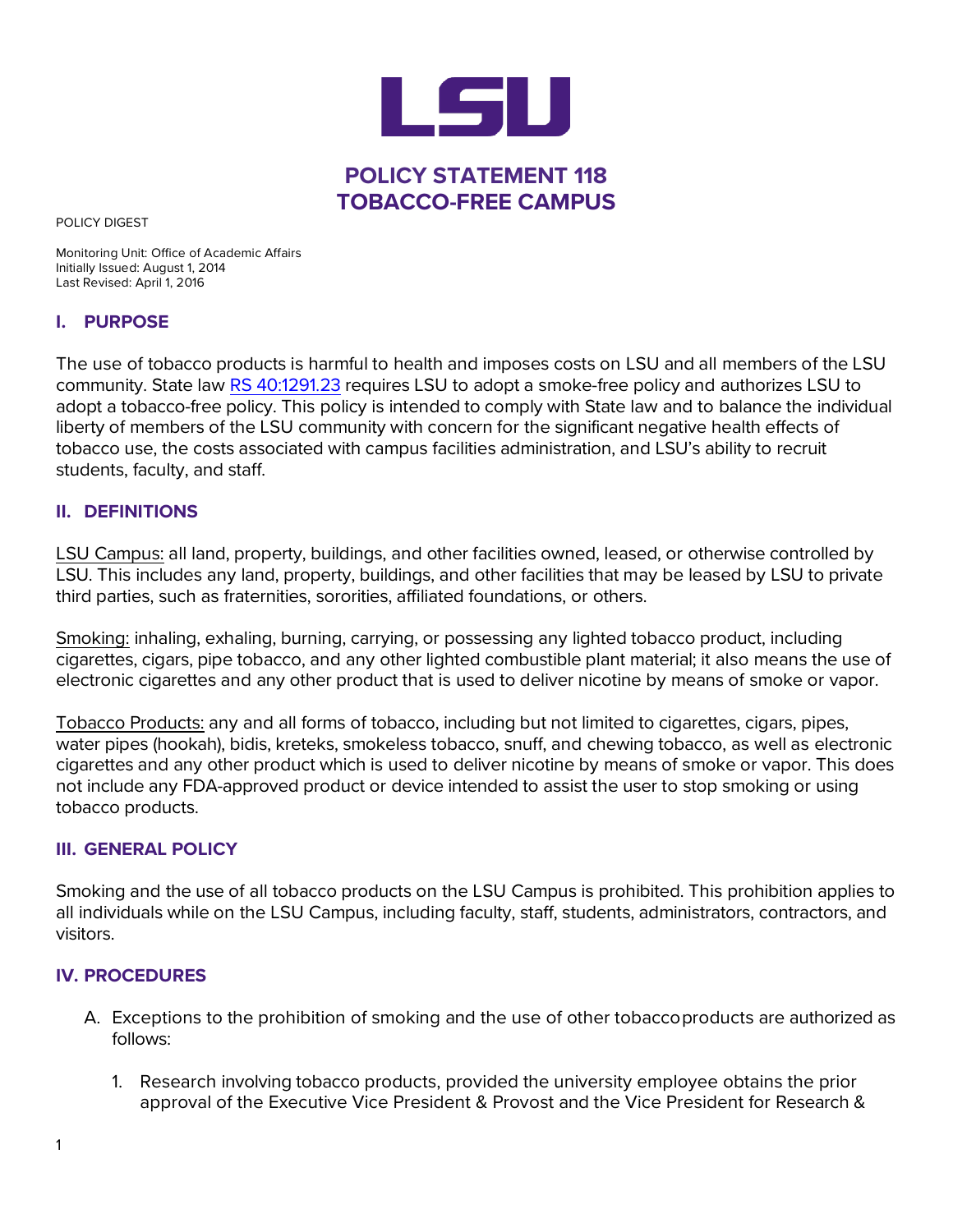

POLICY DIGEST

Monitoring Unit: Office of Academic Affairs Initially Issued: August 1, 2014 Last Revised: April 1, 2016

### **I. PURPOSE**

The use of tobacco products is harmful to health and imposes costs on LSU and all members of the LSU community. State law [RS 40:1291.23](https://legis.la.gov/Legis/Law.aspx?d=964965) requires LSU to adopt a smoke-free policy and authorizes LSU to adopt a tobacco-free policy. This policy is intended to comply with State law and to balance the individual liberty of members of the LSU community with concern for the significant negative health effects of tobacco use, the costs associated with campus facilities administration, and LSU's ability to recruit students, faculty, and staff.

### **II. DEFINITIONS**

LSU Campus: all land, property, buildings, and other facilities owned, leased, or otherwise controlled by LSU. This includes any land, property, buildings, and other facilities that may be leased by LSU to private third parties, such as fraternities, sororities, affiliated foundations, or others.

Smoking: inhaling, exhaling, burning, carrying, or possessing any lighted tobacco product, including cigarettes, cigars, pipe tobacco, and any other lighted combustible plant material; it also means the use of electronic cigarettes and any other product that is used to deliver nicotine by means of smoke or vapor.

Tobacco Products: any and all forms of tobacco, including but not limited to cigarettes, cigars, pipes, water pipes (hookah), bidis, kreteks, smokeless tobacco, snuff, and chewing tobacco, as well as electronic cigarettes and any other product which is used to deliver nicotine by means of smoke or vapor. This does not include any FDA-approved product or device intended to assist the user to stop smoking or using tobacco products.

#### **III. GENERAL POLICY**

Smoking and the use of all tobacco products on the LSU Campus is prohibited. This prohibition applies to all individuals while on the LSU Campus, including faculty, staff, students, administrators, contractors, and visitors.

### **IV. PROCEDURES**

- A. Exceptions to the prohibition of smoking and the use of other tobaccoproducts are authorized as follows:
	- 1. Research involving tobacco products, provided the university employee obtains the prior approval of the Executive Vice President & Provost and the Vice President for Research &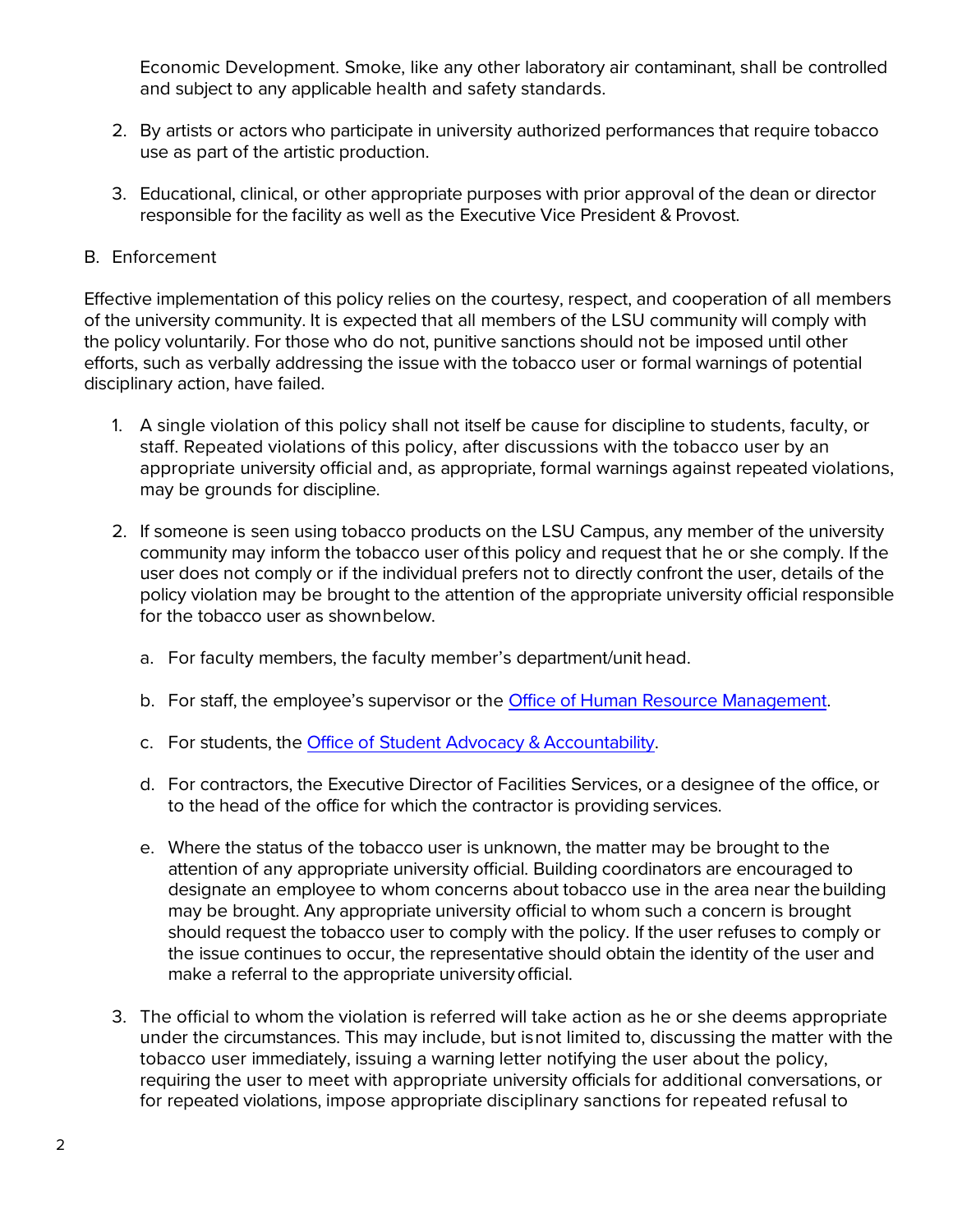Economic Development. Smoke, like any other laboratory air contaminant, shall be controlled and subject to any applicable health and safety standards.

- 2. By artists or actors who participate in university authorized performances that require tobacco use as part of the artistic production.
- 3. Educational, clinical, or other appropriate purposes with prior approval of the dean or director responsible for the facility as well as the Executive Vice President & Provost.
- B. Enforcement

Effective implementation of this policy relies on the courtesy, respect, and cooperation of all members of the university community. It is expected that all members of the LSU community will comply with the policy voluntarily. For those who do not, punitive sanctions should not be imposed until other efforts, such as verbally addressing the issue with the tobacco user or formal warnings of potential disciplinary action, have failed.

- 1. A single violation of this policy shall not itself be cause for discipline to students, faculty, or staff. Repeated violations of this policy, after discussions with the tobacco user by an appropriate university official and, as appropriate, formal warnings against repeated violations, may be grounds for discipline.
- 2. If someone is seen using tobacco products on the LSU Campus, any member of the university community may inform the tobacco user ofthis policy and request that he or she comply. If the user does not comply or if the individual prefers not to directly confront the user, details of the policy violation may be brought to the attention of the appropriate university official responsible for the tobacco user as shownbelow.
	- a. For faculty members, the faculty member's department/unit head.
	- b. For staff, the employee's supervisor or the [Office of Human](http://uiswcmsweb.prod.lsu.edu/hrm/) Resource [Management.](http://uiswcmsweb.prod.lsu.edu/hrm/)
	- c. For students, the Office of Student Advocacy & Accountability.
	- d. For contractors, the Executive Director of Facilities Services, or a designee of the office, or to the head of the office for which the contractor is providing services.
	- e. Where the status of the tobacco user is unknown, the matter may be brought to the attention of any appropriate university official. Building coordinators are encouraged to designate an employee to whom concerns about tobacco use in the area near thebuilding may be brought. Any appropriate university official to whom such a concern is brought should request the tobacco user to comply with the policy. If the user refuses to comply or the issue continues to occur, the representative should obtain the identity of the user and make a referral to the appropriate universityofficial.
- 3. The official to whom the violation is referred will take action as he or she deems appropriate under the circumstances. This may include, but isnot limited to, discussing the matter with the tobacco user immediately, issuing a warning letter notifying the user about the policy, requiring the user to meet with appropriate university officials for additional conversations, or for repeated violations, impose appropriate disciplinary sanctions for repeated refusal to